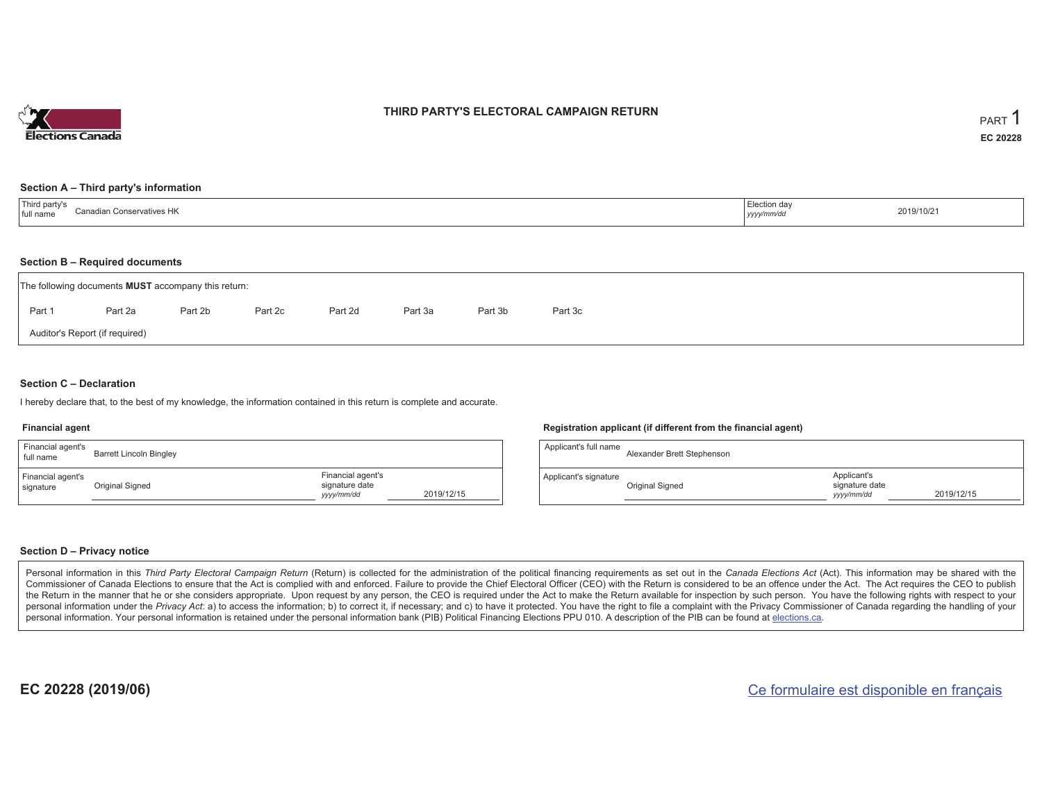

### **THIRD PARTY'S ELECTORAL CAMPAIGN RETURN**

#### **Section A – Third party's information**

| Third party's<br><b>Canadian Conservatives HK</b><br>full name | Election day<br>yyyy/mm/dc | 2019/10/21 |
|----------------------------------------------------------------|----------------------------|------------|
|----------------------------------------------------------------|----------------------------|------------|

#### **Section B – Required documents**

|        | The following documents <b>MUST</b> accompany this return: |         |         |         |         |         |         |  |  |  |  |
|--------|------------------------------------------------------------|---------|---------|---------|---------|---------|---------|--|--|--|--|
| Part 1 | Part 2a                                                    | Part 2b | Part 2c | Part 2d | Part 3a | Part 3b | Part 3c |  |  |  |  |
|        | Auditor's Report (if required)                             |         |         |         |         |         |         |  |  |  |  |

### **Section C – Declaration**

I hereby declare that, to the best of my knowledge, the information contained in this return is complete and accurate.

#### **Financial agent**

| Financial agent's<br>full name | <b>Barrett Lincoln Bingley</b> |                                                                 |  |
|--------------------------------|--------------------------------|-----------------------------------------------------------------|--|
| Financial agent's<br>signature | Original Signed                | Financial agent's<br>signature date<br>2019/12/15<br>yyyy/mm/dd |  |

#### **Registration applicant (if different from the financial agent)**

| Applicant's full name | Alexander Brett Stephenson |                                             |            |
|-----------------------|----------------------------|---------------------------------------------|------------|
| Applicant's signature | Original Signed            | Applicant's<br>signature date<br>yyyy/mm/dd | 2019/12/15 |

### **Section D – Privacy notice**

Personal information in this Third Party Electoral Campaign Return (Return) is collected for the administration of the political financing requirements as set out in the Canada Elections Act (Act). This information may be Commissioner of Canada Elections to ensure that the Act is complied with and enforced. Failure to provide the Chief Electoral Officer (CEO) with the Return is considered to be an offence under the Act. The Act requires the the Return in the manner that he or she considers appropriate. Upon request by any person, the CEO is required under the Act to make the Return available for inspection by such person. You have the following rights with re personal information under the Privacy Act: a) to access the information; b) to correct it, if necessary; and c) to have it protected. You have the right to file a complaint with the Privacy Commissioner of Canada regardin personal information. Your personal information is retained under the personal information bank (PIB) Political Financing Elections PPU 010. A description of the PIB can be found at elections.ca.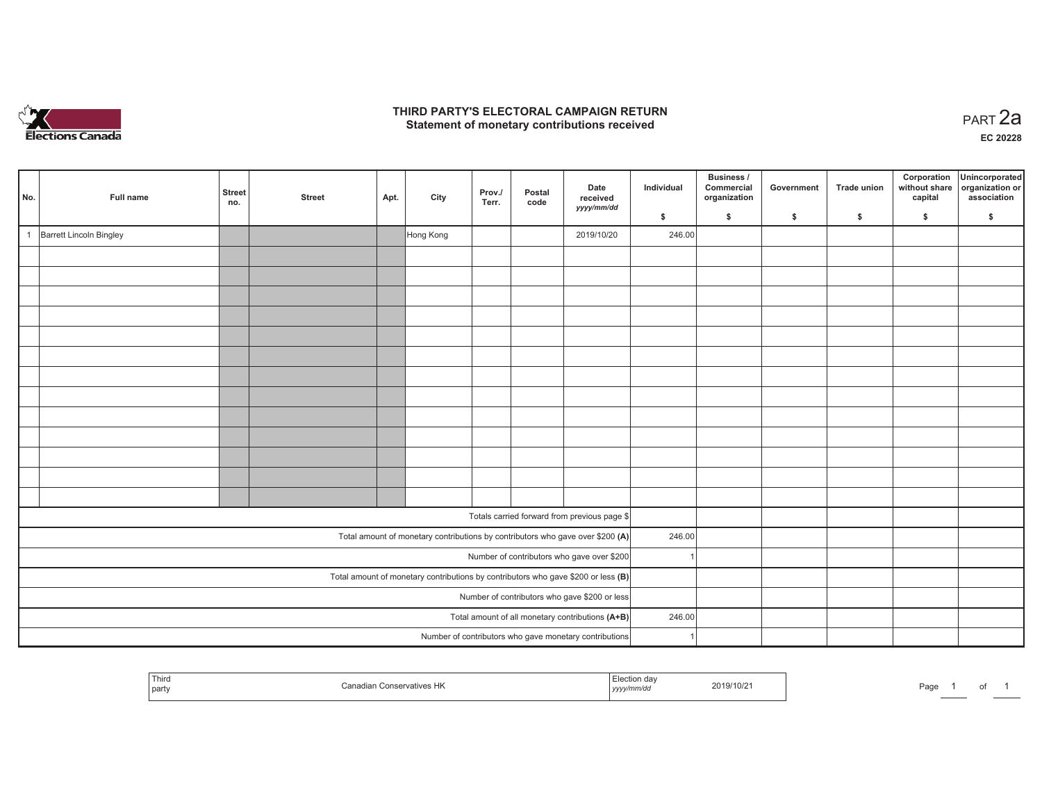

## **THIRD PARTY'S ELECTORAL CAMPAIGN RETURN HIRD PARTY'S ELECTORAL CAMPAIGN RETURN<br>Statement of monetary contributions received PART 2a**

| No. | Full name               | Street<br>no. | <b>Street</b> | Apt. | City      | Prov./<br>Terr. | Postal<br>code | Date<br>received<br>yyyy/mm/dd                                                      | Individual | <b>Business /</b><br>Commercial<br>organization | Government | Trade union | Corporation<br>without share<br>capital | Unincorporated<br>organization or<br>association |
|-----|-------------------------|---------------|---------------|------|-----------|-----------------|----------------|-------------------------------------------------------------------------------------|------------|-------------------------------------------------|------------|-------------|-----------------------------------------|--------------------------------------------------|
|     |                         |               |               |      |           |                 |                |                                                                                     | \$         | \$                                              | \$         | \$          | \$                                      | \$                                               |
|     | Barrett Lincoln Bingley |               |               |      | Hong Kong |                 |                | 2019/10/20                                                                          | 246.00     |                                                 |            |             |                                         |                                                  |
|     |                         |               |               |      |           |                 |                |                                                                                     |            |                                                 |            |             |                                         |                                                  |
|     |                         |               |               |      |           |                 |                |                                                                                     |            |                                                 |            |             |                                         |                                                  |
|     |                         |               |               |      |           |                 |                |                                                                                     |            |                                                 |            |             |                                         |                                                  |
|     |                         |               |               |      |           |                 |                |                                                                                     |            |                                                 |            |             |                                         |                                                  |
|     |                         |               |               |      |           |                 |                |                                                                                     |            |                                                 |            |             |                                         |                                                  |
|     |                         |               |               |      |           |                 |                |                                                                                     |            |                                                 |            |             |                                         |                                                  |
|     |                         |               |               |      |           |                 |                |                                                                                     |            |                                                 |            |             |                                         |                                                  |
|     |                         |               |               |      |           |                 |                |                                                                                     |            |                                                 |            |             |                                         |                                                  |
|     |                         |               |               |      |           |                 |                |                                                                                     |            |                                                 |            |             |                                         |                                                  |
|     |                         |               |               |      |           |                 |                |                                                                                     |            |                                                 |            |             |                                         |                                                  |
|     |                         |               |               |      |           |                 |                |                                                                                     |            |                                                 |            |             |                                         |                                                  |
|     |                         |               |               |      |           |                 |                |                                                                                     |            |                                                 |            |             |                                         |                                                  |
|     |                         |               |               |      |           |                 |                |                                                                                     |            |                                                 |            |             |                                         |                                                  |
|     |                         |               |               |      |           |                 |                | Totals carried forward from previous page \$                                        |            |                                                 |            |             |                                         |                                                  |
|     |                         |               |               |      |           |                 |                | Total amount of monetary contributions by contributors who gave over \$200 (A)      | 246.00     |                                                 |            |             |                                         |                                                  |
|     |                         |               |               |      |           |                 |                | Number of contributors who gave over \$200                                          |            |                                                 |            |             |                                         |                                                  |
|     |                         |               |               |      |           |                 |                | Total amount of monetary contributions by contributors who gave \$200 or less $(B)$ |            |                                                 |            |             |                                         |                                                  |
|     |                         |               |               |      |           |                 |                | Number of contributors who gave \$200 or less                                       |            |                                                 |            |             |                                         |                                                  |
|     |                         |               |               |      |           |                 |                | Total amount of all monetary contributions (A+B)                                    | 246.00     |                                                 |            |             |                                         |                                                  |
|     |                         |               |               |      |           |                 |                | Number of contributors who gave monetary contributions                              |            |                                                 |            |             |                                         |                                                  |

|  | Third<br>l partv | Conservatives HK<br>`anadiar | tion dav<br>.<br>™m/a⊾<br>, уууул | 2019/10/21 | Page |  | ັ |  |
|--|------------------|------------------------------|-----------------------------------|------------|------|--|---|--|
|--|------------------|------------------------------|-----------------------------------|------------|------|--|---|--|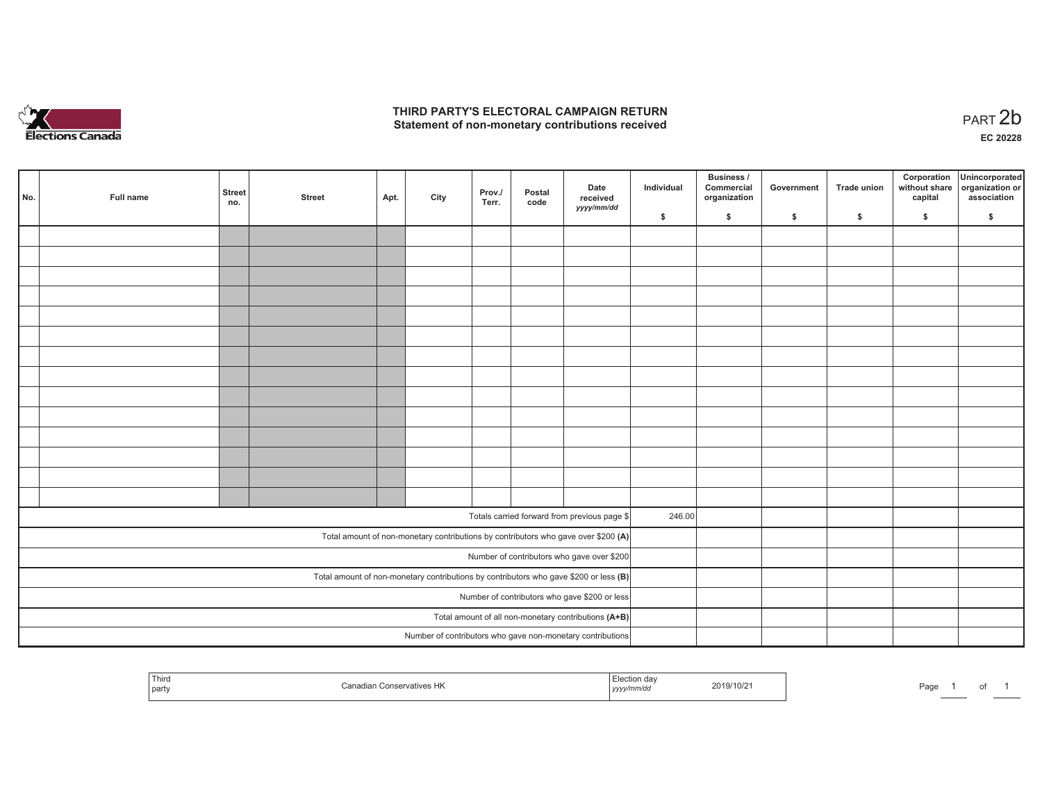

## **THIRD PARTY'S ELECTORAL CAMPAIGN RETURN**  THIRD PARTY'S ELECTORAL CAMPAIGN RETURN<br>Statement of non-monetary contributions received

of 1

| No.                                           | Full name                                                                               | <b>Street</b><br>no. | <b>Street</b> | Apt. | City | Prov./<br>Terr. | Postal<br>code | Date<br>received<br>yyyy/mm/dd                                                     | Individual | <b>Business /</b><br>Commercial<br>organization | Government | Trade union | Corporation<br>capital | Unincorporated<br>without share organization or<br>association |
|-----------------------------------------------|-----------------------------------------------------------------------------------------|----------------------|---------------|------|------|-----------------|----------------|------------------------------------------------------------------------------------|------------|-------------------------------------------------|------------|-------------|------------------------|----------------------------------------------------------------|
|                                               |                                                                                         |                      |               |      |      |                 |                |                                                                                    | \$         | \$                                              | \$         | \$          | \$                     | \$                                                             |
|                                               |                                                                                         |                      |               |      |      |                 |                |                                                                                    |            |                                                 |            |             |                        |                                                                |
|                                               |                                                                                         |                      |               |      |      |                 |                |                                                                                    |            |                                                 |            |             |                        |                                                                |
|                                               |                                                                                         |                      |               |      |      |                 |                |                                                                                    |            |                                                 |            |             |                        |                                                                |
|                                               |                                                                                         |                      |               |      |      |                 |                |                                                                                    |            |                                                 |            |             |                        |                                                                |
|                                               |                                                                                         |                      |               |      |      |                 |                |                                                                                    |            |                                                 |            |             |                        |                                                                |
|                                               |                                                                                         |                      |               |      |      |                 |                |                                                                                    |            |                                                 |            |             |                        |                                                                |
|                                               |                                                                                         |                      |               |      |      |                 |                |                                                                                    |            |                                                 |            |             |                        |                                                                |
|                                               |                                                                                         |                      |               |      |      |                 |                |                                                                                    |            |                                                 |            |             |                        |                                                                |
|                                               |                                                                                         |                      |               |      |      |                 |                |                                                                                    |            |                                                 |            |             |                        |                                                                |
|                                               |                                                                                         |                      |               |      |      |                 |                |                                                                                    |            |                                                 |            |             |                        |                                                                |
|                                               |                                                                                         |                      |               |      |      |                 |                |                                                                                    |            |                                                 |            |             |                        |                                                                |
|                                               |                                                                                         |                      |               |      |      |                 |                |                                                                                    |            |                                                 |            |             |                        |                                                                |
|                                               |                                                                                         |                      |               |      |      |                 |                |                                                                                    |            |                                                 |            |             |                        |                                                                |
|                                               |                                                                                         |                      |               |      |      |                 |                |                                                                                    |            |                                                 |            |             |                        |                                                                |
|                                               |                                                                                         |                      |               |      |      |                 |                | Totals carried forward from previous page \$                                       | 246.00     |                                                 |            |             |                        |                                                                |
|                                               |                                                                                         |                      |               |      |      |                 |                |                                                                                    |            |                                                 |            |             |                        |                                                                |
|                                               |                                                                                         |                      |               |      |      |                 |                | Total amount of non-monetary contributions by contributors who gave over \$200 (A) |            |                                                 |            |             |                        |                                                                |
|                                               |                                                                                         |                      |               |      |      |                 |                | Number of contributors who gave over \$200                                         |            |                                                 |            |             |                        |                                                                |
|                                               | Total amount of non-monetary contributions by contributors who gave \$200 or less $(B)$ |                      |               |      |      |                 |                |                                                                                    |            |                                                 |            |             |                        |                                                                |
| Number of contributors who gave \$200 or less |                                                                                         |                      |               |      |      |                 |                |                                                                                    |            |                                                 |            |             |                        |                                                                |
|                                               | Total amount of all non-monetary contributions (A+B)                                    |                      |               |      |      |                 |                |                                                                                    |            |                                                 |            |             |                        |                                                                |
|                                               |                                                                                         |                      |               |      |      |                 |                | Number of contributors who gave non-monetary contributions                         |            |                                                 |            |             |                        |                                                                |

| Third<br>Conservatives HK<br>party | 2019/10/21<br>yy/mm/dc<br>,,,,, | Page |
|------------------------------------|---------------------------------|------|
|------------------------------------|---------------------------------|------|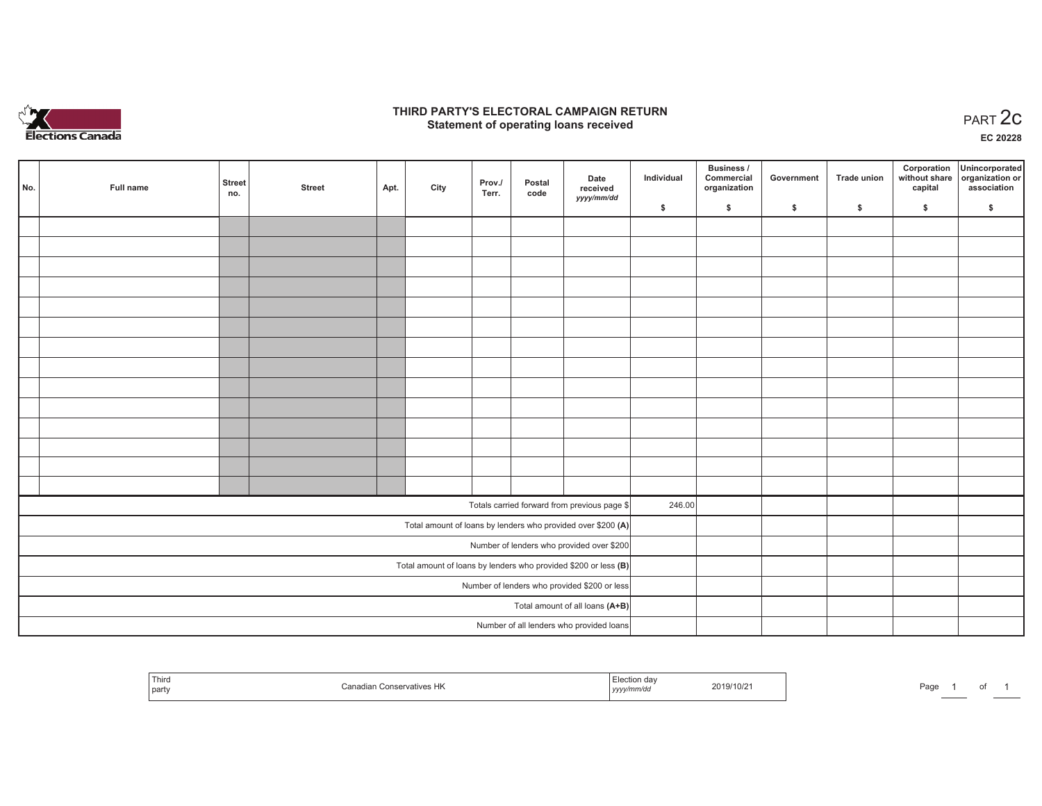

## **THIRD PARTY'S ELECTORAL CAMPAIGN RETURN STATE:** PERSON SELECTORAL CAMPAIGN RETURN<br>
Statement of operating loans received

**EC 20228**

| No.                                                             | Full name | <b>Street</b><br>no. | <b>Street</b> | Apt. | City | Prov./<br>Terr. | Postal<br>code | Date<br>received                                             | Individual | Business /<br>Commercial<br>organization | Government | <b>Trade union</b> | Corporation<br>capital | Unincorporated<br>without share organization or<br>association |
|-----------------------------------------------------------------|-----------|----------------------|---------------|------|------|-----------------|----------------|--------------------------------------------------------------|------------|------------------------------------------|------------|--------------------|------------------------|----------------------------------------------------------------|
|                                                                 |           |                      |               |      |      |                 |                | yyyy/mm/dd                                                   | \$         | \$                                       | \$         | \$                 | \$                     | \$                                                             |
|                                                                 |           |                      |               |      |      |                 |                |                                                              |            |                                          |            |                    |                        |                                                                |
|                                                                 |           |                      |               |      |      |                 |                |                                                              |            |                                          |            |                    |                        |                                                                |
|                                                                 |           |                      |               |      |      |                 |                |                                                              |            |                                          |            |                    |                        |                                                                |
|                                                                 |           |                      |               |      |      |                 |                |                                                              |            |                                          |            |                    |                        |                                                                |
|                                                                 |           |                      |               |      |      |                 |                |                                                              |            |                                          |            |                    |                        |                                                                |
|                                                                 |           |                      |               |      |      |                 |                |                                                              |            |                                          |            |                    |                        |                                                                |
|                                                                 |           |                      |               |      |      |                 |                |                                                              |            |                                          |            |                    |                        |                                                                |
|                                                                 |           |                      |               |      |      |                 |                |                                                              |            |                                          |            |                    |                        |                                                                |
|                                                                 |           |                      |               |      |      |                 |                |                                                              |            |                                          |            |                    |                        |                                                                |
|                                                                 |           |                      |               |      |      |                 |                |                                                              |            |                                          |            |                    |                        |                                                                |
|                                                                 |           |                      |               |      |      |                 |                |                                                              |            |                                          |            |                    |                        |                                                                |
|                                                                 |           |                      |               |      |      |                 |                |                                                              |            |                                          |            |                    |                        |                                                                |
|                                                                 |           |                      |               |      |      |                 |                |                                                              |            |                                          |            |                    |                        |                                                                |
|                                                                 |           |                      |               |      |      |                 |                |                                                              |            |                                          |            |                    |                        |                                                                |
|                                                                 |           |                      |               |      |      |                 |                | Totals carried forward from previous page \$                 | 246.00     |                                          |            |                    |                        |                                                                |
|                                                                 |           |                      |               |      |      |                 |                | Total amount of loans by lenders who provided over \$200 (A) |            |                                          |            |                    |                        |                                                                |
| Number of lenders who provided over \$200                       |           |                      |               |      |      |                 |                |                                                              |            |                                          |            |                    |                        |                                                                |
| Total amount of loans by lenders who provided \$200 or less (B) |           |                      |               |      |      |                 |                |                                                              |            |                                          |            |                    |                        |                                                                |
| Number of lenders who provided \$200 or less                    |           |                      |               |      |      |                 |                |                                                              |            |                                          |            |                    |                        |                                                                |
|                                                                 |           |                      |               |      |      |                 |                | Total amount of all loans (A+B)                              |            |                                          |            |                    |                        |                                                                |
|                                                                 |           |                      |               |      |      |                 |                | Number of all lenders who provided loans                     |            |                                          |            |                    |                        |                                                                |

| Third<br>party | - 113 | 19/10/2<br>mnvaa<br>,,,,, | Door<br>-aue<br>OL. |
|----------------|-------|---------------------------|---------------------|
|----------------|-------|---------------------------|---------------------|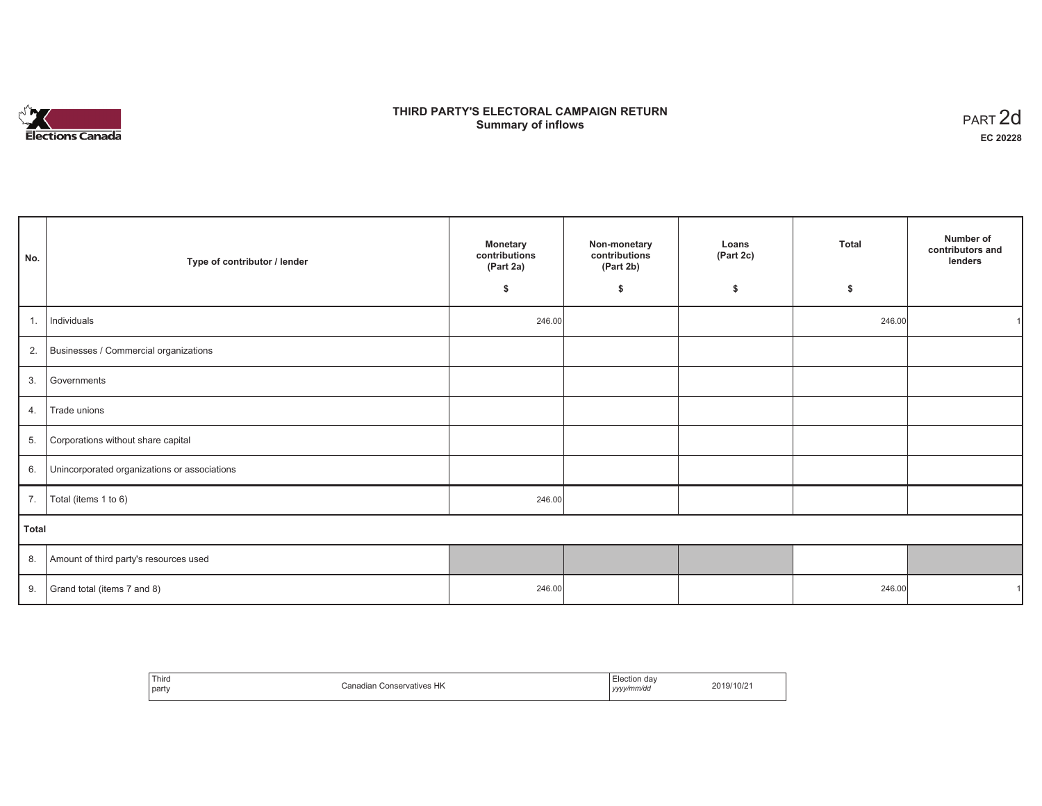

# **THIRD PARTY'S ELECTORAL CAMPAIGN RETURN S** ELECTORAL CAMPAIGN RETURN<br>Summary of inflows PART 2d

| No.   | Type of contributor / lender                    | <b>Monetary</b><br>contributions<br>(Part 2a) | Non-monetary<br>contributions<br>(Part 2b) | Loans<br>(Part 2c) | <b>Total</b> | Number of<br>contributors and<br>lenders |
|-------|-------------------------------------------------|-----------------------------------------------|--------------------------------------------|--------------------|--------------|------------------------------------------|
|       |                                                 | \$                                            | \$                                         | \$                 | \$           |                                          |
| 1.    | Individuals                                     | 246.00                                        |                                            |                    | 246.00       |                                          |
|       | 2. Businesses / Commercial organizations        |                                               |                                            |                    |              |                                          |
|       | 3. Governments                                  |                                               |                                            |                    |              |                                          |
| 4.    | Trade unions                                    |                                               |                                            |                    |              |                                          |
| 5.    | Corporations without share capital              |                                               |                                            |                    |              |                                          |
|       | 6. Unincorporated organizations or associations |                                               |                                            |                    |              |                                          |
| 7.    | Total (items 1 to 6)                            | 246.00                                        |                                            |                    |              |                                          |
| Total |                                                 |                                               |                                            |                    |              |                                          |
|       | 8. Amount of third party's resources used       |                                               |                                            |                    |              |                                          |
|       | 9. Grand total (items $7$ and $8$ )             | 246.00                                        |                                            |                    | 246.00       |                                          |

| Third<br>party | HK<br>$'$ anadia<br>vatives<br>Conser | . dav<br>ction<br>__<br>yyyy/mm/da<br>,,,, | '10/2<br>י שי |
|----------------|---------------------------------------|--------------------------------------------|---------------|
|----------------|---------------------------------------|--------------------------------------------|---------------|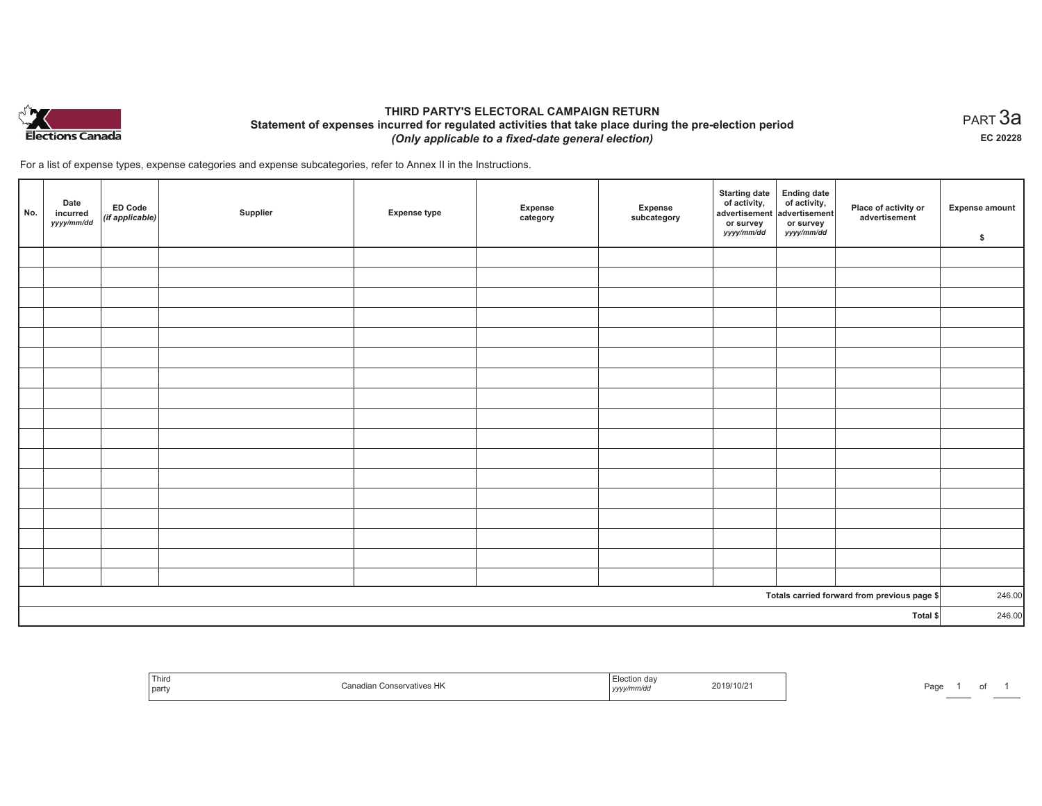

## **THIRD PARTY'S ELECTORAL CAMPAIGN RETURN Statement of expenses incurred for regulated activities that take place during the pre-election period**  *(Only applicable to a fixed-date general election)*

For a list of expense types, expense categories and expense subcategories, refer to Annex II in the Instructions.

| No.      | Date<br>incurred<br>yyyy/mm/dd | $E$ D Code<br>(if applicable) | Supplier | <b>Expense type</b> | Expense<br>category | Expense<br>subcategory | <b>Starting date</b><br>of activity,<br>advertisement<br>or survey<br>yyyy/mm/dd | Ending date<br>of activity,<br>advertisement<br>or survey<br>yyyy/mm/dd | Place of activity or<br>advertisement        | <b>Expense amount</b><br>\$ |
|----------|--------------------------------|-------------------------------|----------|---------------------|---------------------|------------------------|----------------------------------------------------------------------------------|-------------------------------------------------------------------------|----------------------------------------------|-----------------------------|
|          |                                |                               |          |                     |                     |                        |                                                                                  |                                                                         |                                              |                             |
|          |                                |                               |          |                     |                     |                        |                                                                                  |                                                                         |                                              |                             |
|          |                                |                               |          |                     |                     |                        |                                                                                  |                                                                         |                                              |                             |
|          |                                |                               |          |                     |                     |                        |                                                                                  |                                                                         |                                              |                             |
|          |                                |                               |          |                     |                     |                        |                                                                                  |                                                                         |                                              |                             |
|          |                                |                               |          |                     |                     |                        |                                                                                  |                                                                         |                                              |                             |
|          |                                |                               |          |                     |                     |                        |                                                                                  |                                                                         |                                              |                             |
|          |                                |                               |          |                     |                     |                        |                                                                                  |                                                                         |                                              |                             |
|          |                                |                               |          |                     |                     |                        |                                                                                  |                                                                         |                                              |                             |
|          |                                |                               |          |                     |                     |                        |                                                                                  |                                                                         |                                              |                             |
|          |                                |                               |          |                     |                     |                        |                                                                                  |                                                                         |                                              |                             |
|          |                                |                               |          |                     |                     |                        |                                                                                  |                                                                         |                                              |                             |
|          |                                |                               |          |                     |                     |                        |                                                                                  |                                                                         |                                              |                             |
|          |                                |                               |          |                     |                     |                        |                                                                                  |                                                                         |                                              |                             |
|          |                                |                               |          |                     |                     |                        |                                                                                  |                                                                         |                                              |                             |
|          |                                |                               |          |                     |                     |                        |                                                                                  |                                                                         |                                              |                             |
|          |                                |                               |          |                     |                     |                        |                                                                                  |                                                                         |                                              |                             |
|          |                                |                               |          |                     |                     |                        |                                                                                  |                                                                         | Totals carried forward from previous page \$ | 246.00                      |
| Total \$ |                                |                               |          |                     |                     |                        | 246.00                                                                           |                                                                         |                                              |                             |

| Third<br>party | Canadian Conservatives HK | $\overline{\phantom{a}}$<br>-lection<br>ı dav<br>2019/10/21<br>.<br>, yyyy/mm/dd | Page |
|----------------|---------------------------|----------------------------------------------------------------------------------|------|
|----------------|---------------------------|----------------------------------------------------------------------------------|------|

 $_{\sf PART}$ 3a **EC 20228**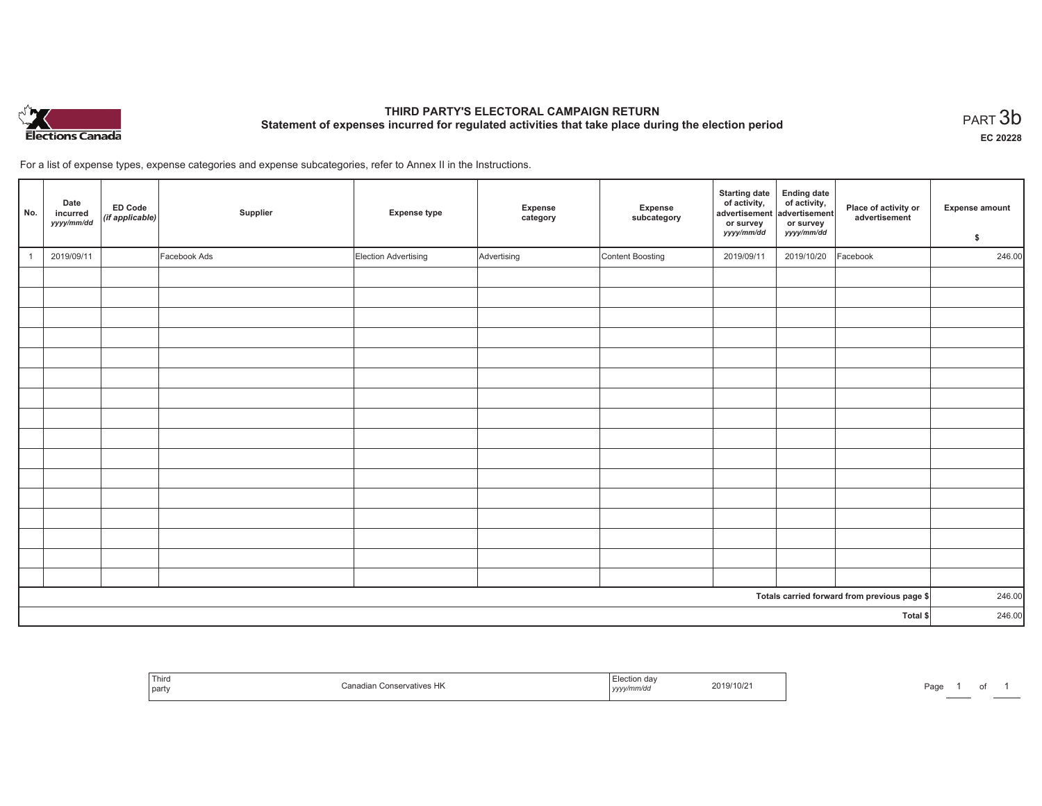

# **THIRD PARTY'S ELECTORAL CAMPAIGN RETURN Statement of expenses incurred for regulated activities that take place during the election period**<br>PART  $3\mathsf{b}$

**EC 20228**

For a list of expense types, expense categories and expense subcategories, refer to Annex II in the Instructions.

| No.                                          | Date<br>incurred<br>yyyy/mm/dd | ED Code<br>(if applicable) | Supplier     | <b>Expense type</b>  | Expense<br>category | Expense<br>subcategory | <b>Starting date</b><br>of activity,<br>advertisement<br>or survey<br>yyyy/mm/dd | Ending date<br>of activity,<br>advertisement<br>or survey<br>yyyy/mm/dd | Place of activity or<br>advertisement | <b>Expense amount</b><br>\$ |
|----------------------------------------------|--------------------------------|----------------------------|--------------|----------------------|---------------------|------------------------|----------------------------------------------------------------------------------|-------------------------------------------------------------------------|---------------------------------------|-----------------------------|
|                                              | 2019/09/11                     |                            | Facebook Ads | Election Advertising | Advertising         | Content Boosting       | 2019/09/11                                                                       | 2019/10/20                                                              | Facebook                              | 246.00                      |
|                                              |                                |                            |              |                      |                     |                        |                                                                                  |                                                                         |                                       |                             |
|                                              |                                |                            |              |                      |                     |                        |                                                                                  |                                                                         |                                       |                             |
|                                              |                                |                            |              |                      |                     |                        |                                                                                  |                                                                         |                                       |                             |
|                                              |                                |                            |              |                      |                     |                        |                                                                                  |                                                                         |                                       |                             |
|                                              |                                |                            |              |                      |                     |                        |                                                                                  |                                                                         |                                       |                             |
|                                              |                                |                            |              |                      |                     |                        |                                                                                  |                                                                         |                                       |                             |
|                                              |                                |                            |              |                      |                     |                        |                                                                                  |                                                                         |                                       |                             |
|                                              |                                |                            |              |                      |                     |                        |                                                                                  |                                                                         |                                       |                             |
|                                              |                                |                            |              |                      |                     |                        |                                                                                  |                                                                         |                                       |                             |
|                                              |                                |                            |              |                      |                     |                        |                                                                                  |                                                                         |                                       |                             |
|                                              |                                |                            |              |                      |                     |                        |                                                                                  |                                                                         |                                       |                             |
|                                              |                                |                            |              |                      |                     |                        |                                                                                  |                                                                         |                                       |                             |
|                                              |                                |                            |              |                      |                     |                        |                                                                                  |                                                                         |                                       |                             |
|                                              |                                |                            |              |                      |                     |                        |                                                                                  |                                                                         |                                       |                             |
|                                              |                                |                            |              |                      |                     |                        |                                                                                  |                                                                         |                                       |                             |
|                                              |                                |                            |              |                      |                     |                        |                                                                                  |                                                                         |                                       |                             |
| Totals carried forward from previous page \$ |                                |                            |              |                      |                     | 246.00                 |                                                                                  |                                                                         |                                       |                             |
| Total \$                                     |                                |                            |              |                      |                     |                        | 246.00                                                                           |                                                                         |                                       |                             |

| Third<br>∣ par' | ner<br><i>r</i> atives<br>$\overline{\phantom{a}}$ | 19/10/2<br>,,,,, | Pag |
|-----------------|----------------------------------------------------|------------------|-----|
|-----------------|----------------------------------------------------|------------------|-----|